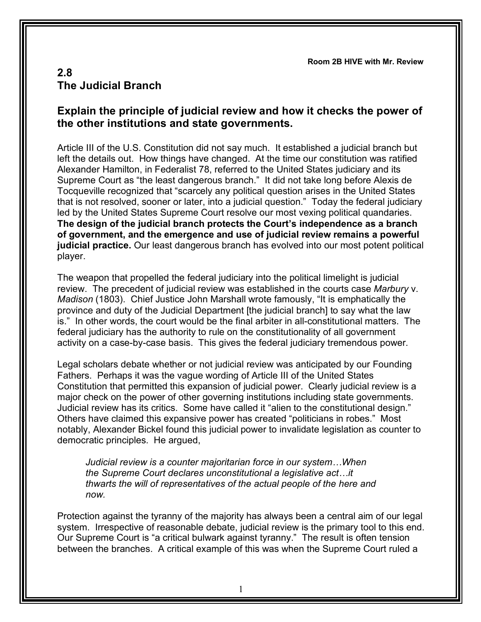**Room 2B HIVE with Mr. Review**

## **2.8 The Judicial Branch**

## **Explain the principle of judicial review and how it checks the power of the other institutions and state governments.**

Article III of the U.S. Constitution did not say much. It established a judicial branch but left the details out. How things have changed. At the time our constitution was ratified Alexander Hamilton, in Federalist 78, referred to the United States judiciary and its Supreme Court as "the least dangerous branch." It did not take long before Alexis de Tocqueville recognized that "scarcely any political question arises in the United States that is not resolved, sooner or later, into a judicial question." Today the federal judiciary led by the United States Supreme Court resolve our most vexing political quandaries. **The design of the judicial branch protects the Court's independence as a branch of government, and the emergence and use of judicial review remains a powerful judicial practice.** Our least dangerous branch has evolved into our most potent political player.

The weapon that propelled the federal judiciary into the political limelight is judicial review. The precedent of judicial review was established in the courts case *Marbury* v. *Madison* (1803). Chief Justice John Marshall wrote famously, "It is emphatically the province and duty of the Judicial Department [the judicial branch] to say what the law is." In other words, the court would be the final arbiter in all-constitutional matters. The federal judiciary has the authority to rule on the constitutionality of all government activity on a case-by-case basis. This gives the federal judiciary tremendous power.

Legal scholars debate whether or not judicial review was anticipated by our Founding Fathers. Perhaps it was the vague wording of Article III of the United States Constitution that permitted this expansion of judicial power. Clearly judicial review is a major check on the power of other governing institutions including state governments. Judicial review has its critics. Some have called it "alien to the constitutional design." Others have claimed this expansive power has created "politicians in robes." Most notably, Alexander Bickel found this judicial power to invalidate legislation as counter to democratic principles. He argued,

*Judicial review is a counter majoritarian force in our system…When the Supreme Court declares unconstitutional a legislative act…it thwarts the will of representatives of the actual people of the here and now.*

Protection against the tyranny of the majority has always been a central aim of our legal system. Irrespective of reasonable debate, judicial review is the primary tool to this end. Our Supreme Court is "a critical bulwark against tyranny." The result is often tension between the branches. A critical example of this was when the Supreme Court ruled a